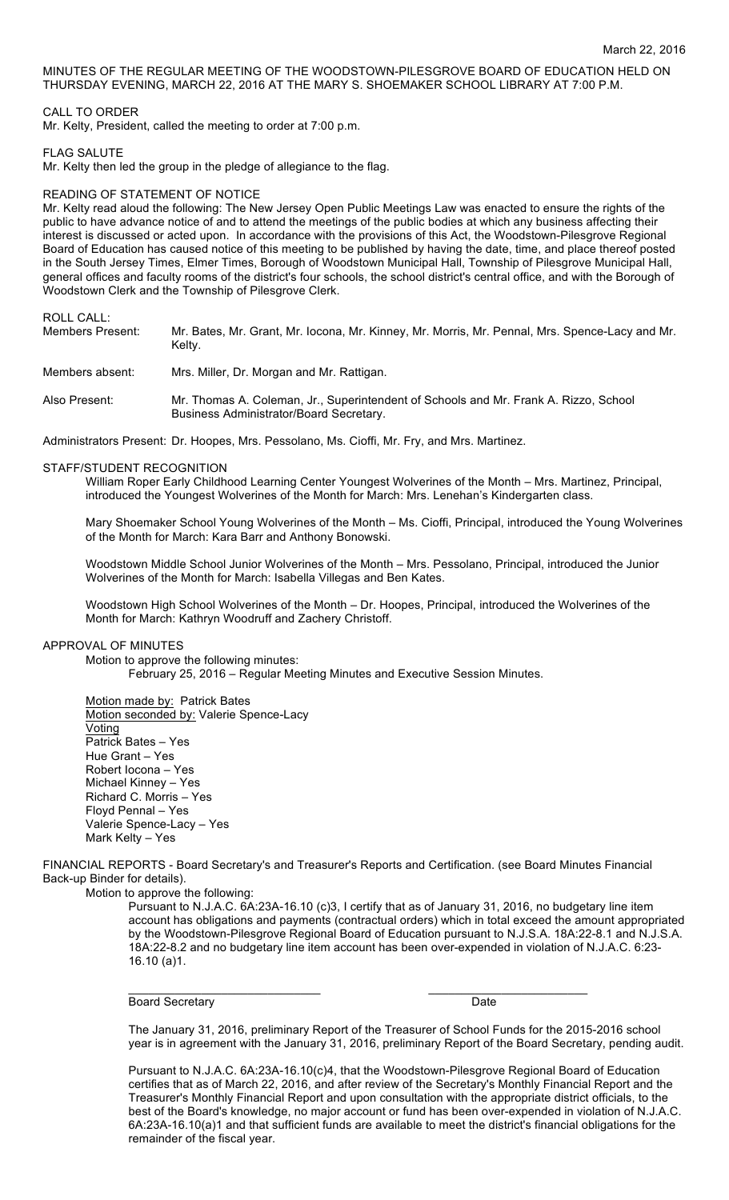MINUTES OF THE REGULAR MEETING OF THE WOODSTOWN-PILESGROVE BOARD OF EDUCATION HELD ON THURSDAY EVENING, MARCH 22, 2016 AT THE MARY S. SHOEMAKER SCHOOL LIBRARY AT 7:00 P.M.

## CALL TO ORDER

Mr. Kelty, President, called the meeting to order at 7:00 p.m.

### FLAG SALUTE

Mr. Kelty then led the group in the pledge of allegiance to the flag.

### READING OF STATEMENT OF NOTICE

Mr. Kelty read aloud the following: The New Jersey Open Public Meetings Law was enacted to ensure the rights of the public to have advance notice of and to attend the meetings of the public bodies at which any business affecting their interest is discussed or acted upon. In accordance with the provisions of this Act, the Woodstown-Pilesgrove Regional Board of Education has caused notice of this meeting to be published by having the date, time, and place thereof posted in the South Jersey Times, Elmer Times, Borough of Woodstown Municipal Hall, Township of Pilesgrove Municipal Hall, general offices and faculty rooms of the district's four schools, the school district's central office, and with the Borough of Woodstown Clerk and the Township of Pilesgrove Clerk.

## ROLL CALL:

| Members Present: | Mr. Bates, Mr. Grant, Mr. Iocona, Mr. Kinney, Mr. Morris, Mr. Pennal, Mrs. Spence-Lacy and Mr.<br>Kelty.                        |
|------------------|---------------------------------------------------------------------------------------------------------------------------------|
| Members absent:  | Mrs. Miller, Dr. Morgan and Mr. Rattigan.                                                                                       |
| Also Present:    | Mr. Thomas A. Coleman, Jr., Superintendent of Schools and Mr. Frank A. Rizzo, School<br>Business Administrator/Board Secretary. |

Administrators Present: Dr. Hoopes, Mrs. Pessolano, Ms. Cioffi, Mr. Fry, and Mrs. Martinez.

### STAFF/STUDENT RECOGNITION

William Roper Early Childhood Learning Center Youngest Wolverines of the Month – Mrs. Martinez, Principal, introduced the Youngest Wolverines of the Month for March: Mrs. Lenehan's Kindergarten class.

Mary Shoemaker School Young Wolverines of the Month – Ms. Cioffi, Principal, introduced the Young Wolverines of the Month for March: Kara Barr and Anthony Bonowski.

Woodstown Middle School Junior Wolverines of the Month – Mrs. Pessolano, Principal, introduced the Junior Wolverines of the Month for March: Isabella Villegas and Ben Kates.

Woodstown High School Wolverines of the Month – Dr. Hoopes, Principal, introduced the Wolverines of the Month for March: Kathryn Woodruff and Zachery Christoff.

### APPROVAL OF MINUTES

Motion to approve the following minutes: February 25, 2016 – Regular Meeting Minutes and Executive Session Minutes.

Motion made by: Patrick Bates Motion seconded by: Valerie Spence-Lacy Voting Patrick Bates – Yes Hue Grant – Yes Robert Iocona – Yes Michael Kinney – Yes Richard C. Morris – Yes Floyd Pennal – Yes Valerie Spence-Lacy – Yes Mark Kelty – Yes

FINANCIAL REPORTS - Board Secretary's and Treasurer's Reports and Certification. (see Board Minutes Financial Back-up Binder for details).

Motion to approve the following:

Pursuant to N.J.A.C. 6A:23A-16.10 (c)3, I certify that as of January 31, 2016, no budgetary line item account has obligations and payments (contractual orders) which in total exceed the amount appropriated by the Woodstown-Pilesgrove Regional Board of Education pursuant to N.J.S.A. 18A:22-8.1 and N.J.S.A. 18A:22-8.2 and no budgetary line item account has been over-expended in violation of N.J.A.C. 6:23- 16.10 (a)1.

Board Secretary Date **Date** 

 $\overline{\phantom{a}}$  , and the contribution of the contribution of  $\overline{\phantom{a}}$  , and  $\overline{\phantom{a}}$  , and  $\overline{\phantom{a}}$  , and  $\overline{\phantom{a}}$ 

The January 31, 2016, preliminary Report of the Treasurer of School Funds for the 2015-2016 school year is in agreement with the January 31, 2016, preliminary Report of the Board Secretary, pending audit.

Pursuant to N.J.A.C. 6A:23A-16.10(c)4, that the Woodstown-Pilesgrove Regional Board of Education certifies that as of March 22, 2016, and after review of the Secretary's Monthly Financial Report and the Treasurer's Monthly Financial Report and upon consultation with the appropriate district officials, to the best of the Board's knowledge, no major account or fund has been over-expended in violation of N.J.A.C. 6A:23A-16.10(a)1 and that sufficient funds are available to meet the district's financial obligations for the remainder of the fiscal year.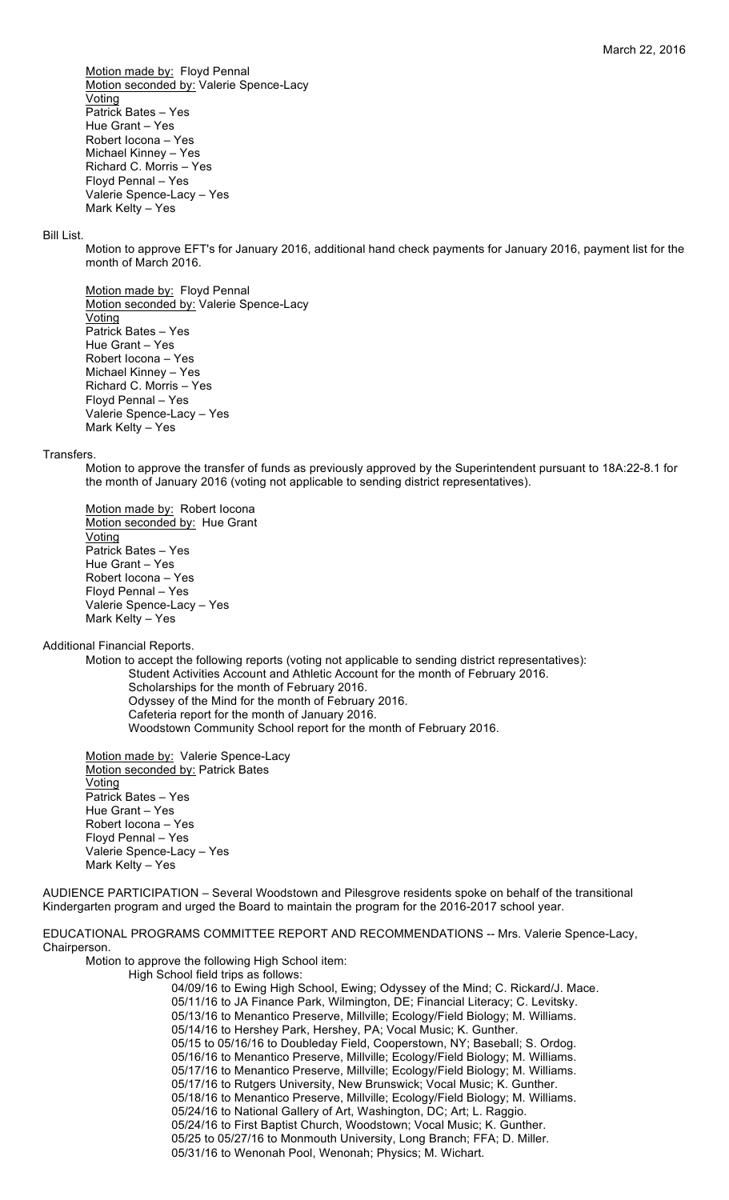Motion made by: Floyd Pennal Motion seconded by: Valerie Spence-Lacy Voting Patrick Bates – Yes Hue Grant – Yes Robert Iocona – Yes Michael Kinney – Yes Richard C. Morris – Yes Floyd Pennal – Yes Valerie Spence-Lacy – Yes Mark Kelty – Yes

#### Bill List.

Motion to approve EFT's for January 2016, additional hand check payments for January 2016, payment list for the month of March 2016.

Motion made by: Floyd Pennal Motion seconded by: Valerie Spence-Lacy Voting Patrick Bates – Yes Hue Grant – Yes Robert Iocona – Yes Michael Kinney – Yes Richard C. Morris – Yes Floyd Pennal – Yes Valerie Spence-Lacy – Yes Mark Kelty – Yes

#### **Transfers**

Motion to approve the transfer of funds as previously approved by the Superintendent pursuant to 18A:22-8.1 for the month of January 2016 (voting not applicable to sending district representatives).

Motion made by: Robert locona Motion seconded by: Hue Grant Voting Patrick Bates – Yes Hue Grant – Yes Robert Iocona – Yes Floyd Pennal – Yes Valerie Spence-Lacy – Yes Mark Kelty – Yes

Additional Financial Reports.

Motion to accept the following reports (voting not applicable to sending district representatives): Student Activities Account and Athletic Account for the month of February 2016. Scholarships for the month of February 2016. Odyssey of the Mind for the month of February 2016. Cafeteria report for the month of January 2016. Woodstown Community School report for the month of February 2016.

Motion made by: Valerie Spence-Lacy Motion seconded by: Patrick Bates **Voting** Patrick Bates – Yes Hue Grant – Yes Robert Iocona – Yes Floyd Pennal – Yes Valerie Spence-Lacy – Yes Mark Kelty – Yes

AUDIENCE PARTICIPATION – Several Woodstown and Pilesgrove residents spoke on behalf of the transitional Kindergarten program and urged the Board to maintain the program for the 2016-2017 school year.

# EDUCATIONAL PROGRAMS COMMITTEE REPORT AND RECOMMENDATIONS -- Mrs. Valerie Spence-Lacy, Chairperson.

Motion to approve the following High School item:

High School field trips as follows: 04/09/16 to Ewing High School, Ewing; Odyssey of the Mind; C. Rickard/J. Mace. 05/11/16 to JA Finance Park, Wilmington, DE; Financial Literacy; C. Levitsky. 05/13/16 to Menantico Preserve, Millville; Ecology/Field Biology; M. Williams. 05/14/16 to Hershey Park, Hershey, PA; Vocal Music; K. Gunther. 05/15 to 05/16/16 to Doubleday Field, Cooperstown, NY; Baseball; S. Ordog. 05/16/16 to Menantico Preserve, Millville; Ecology/Field Biology; M. Williams. 05/17/16 to Menantico Preserve, Millville; Ecology/Field Biology; M. Williams. 05/17/16 to Rutgers University, New Brunswick; Vocal Music; K. Gunther. 05/18/16 to Menantico Preserve, Millville; Ecology/Field Biology; M. Williams. 05/24/16 to National Gallery of Art, Washington, DC; Art; L. Raggio. 05/24/16 to First Baptist Church, Woodstown; Vocal Music; K. Gunther. 05/25 to 05/27/16 to Monmouth University, Long Branch; FFA; D. Miller. 05/31/16 to Wenonah Pool, Wenonah; Physics; M. Wichart.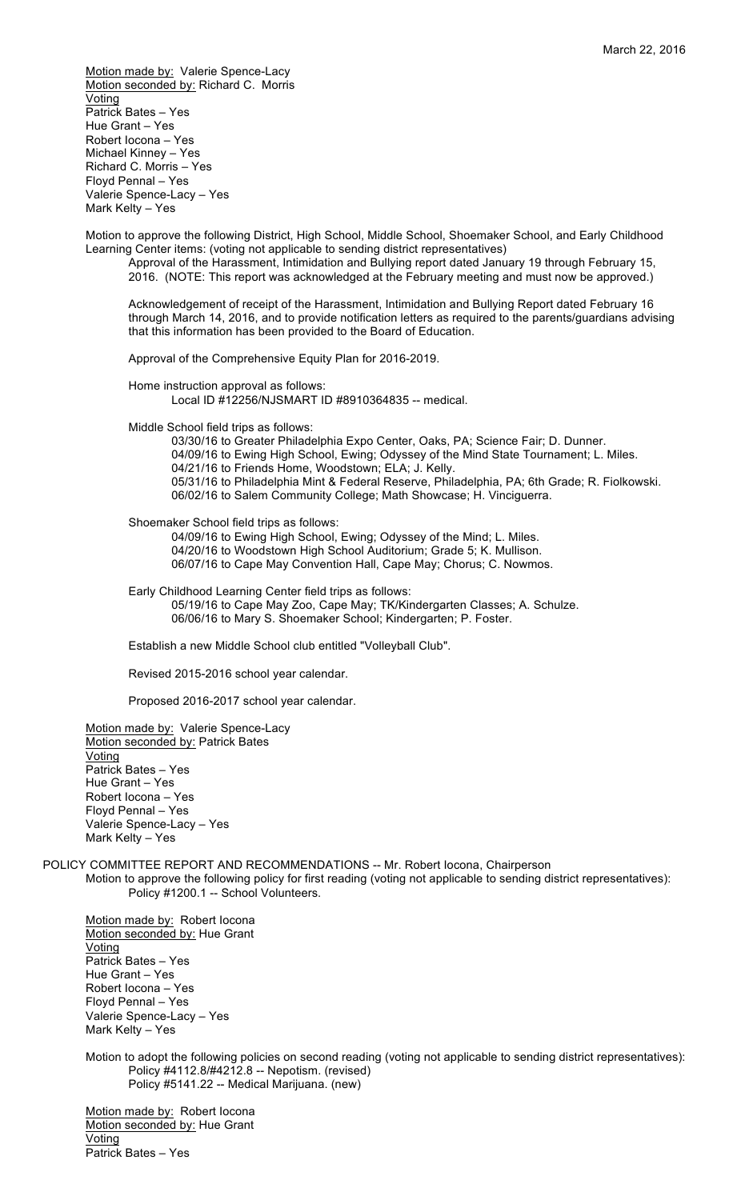Motion made by: Valerie Spence-Lacy Motion seconded by: Richard C. Morris Voting Patrick Bates – Yes Hue Grant – Yes Robert Iocona – Yes Michael Kinney – Yes Richard C. Morris – Yes Floyd Pennal – Yes Valerie Spence-Lacy – Yes Mark Kelty – Yes

Motion to approve the following District, High School, Middle School, Shoemaker School, and Early Childhood Learning Center items: (voting not applicable to sending district representatives)

Approval of the Harassment, Intimidation and Bullying report dated January 19 through February 15, 2016. (NOTE: This report was acknowledged at the February meeting and must now be approved.)

Acknowledgement of receipt of the Harassment, Intimidation and Bullying Report dated February 16 through March 14, 2016, and to provide notification letters as required to the parents/guardians advising that this information has been provided to the Board of Education.

Approval of the Comprehensive Equity Plan for 2016-2019.

Home instruction approval as follows: Local ID #12256/NJSMART ID #8910364835 -- medical.

Middle School field trips as follows:

03/30/16 to Greater Philadelphia Expo Center, Oaks, PA; Science Fair; D. Dunner. 04/09/16 to Ewing High School, Ewing; Odyssey of the Mind State Tournament; L. Miles. 04/21/16 to Friends Home, Woodstown; ELA; J. Kelly. 05/31/16 to Philadelphia Mint & Federal Reserve, Philadelphia, PA; 6th Grade; R. Fiolkowski. 06/02/16 to Salem Community College; Math Showcase; H. Vinciguerra.

Shoemaker School field trips as follows:

04/09/16 to Ewing High School, Ewing; Odyssey of the Mind; L. Miles. 04/20/16 to Woodstown High School Auditorium; Grade 5; K. Mullison. 06/07/16 to Cape May Convention Hall, Cape May; Chorus; C. Nowmos.

Early Childhood Learning Center field trips as follows: 05/19/16 to Cape May Zoo, Cape May; TK/Kindergarten Classes; A. Schulze. 06/06/16 to Mary S. Shoemaker School; Kindergarten; P. Foster.

Establish a new Middle School club entitled "Volleyball Club".

Revised 2015-2016 school year calendar.

Proposed 2016-2017 school year calendar.

Motion made by: Valerie Spence-Lacy Motion seconded by: Patrick Bates Voting Patrick Bates – Yes Hue Grant – Yes Robert Iocona – Yes Floyd Pennal – Yes Valerie Spence-Lacy – Yes Mark Kelty – Yes

POLICY COMMITTEE REPORT AND RECOMMENDATIONS -- Mr. Robert Iocona, Chairperson

Motion to approve the following policy for first reading (voting not applicable to sending district representatives): Policy #1200.1 -- School Volunteers.

Motion made by: Robert Iocona Motion seconded by: Hue Grant **Voting** Patrick Bates – Yes Hue Grant – Yes Robert Iocona – Yes Floyd Pennal – Yes Valerie Spence-Lacy – Yes Mark Kelty – Yes

Motion to adopt the following policies on second reading (voting not applicable to sending district representatives): Policy #4112.8/#4212.8 -- Nepotism. (revised) Policy #5141.22 -- Medical Marijuana. (new)

Motion made by: Robert Iocona Motion seconded by: Hue Grant Voting Patrick Bates – Yes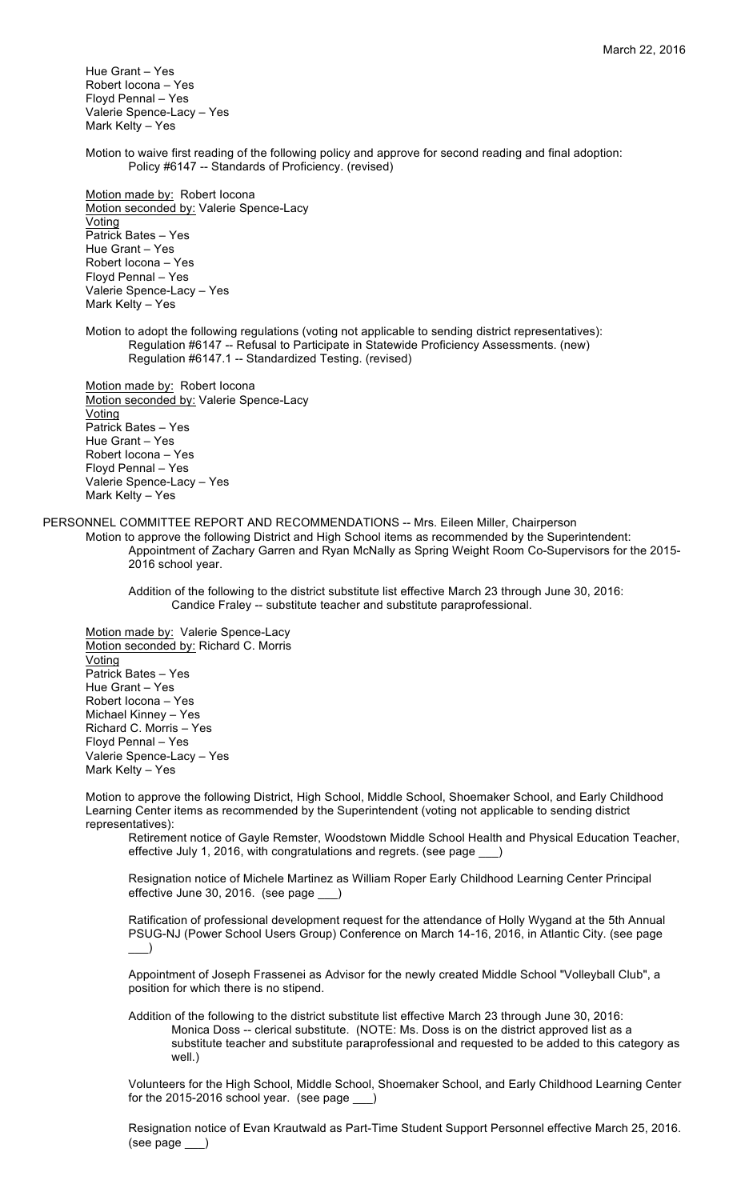Hue Grant – Yes Robert Iocona – Yes Floyd Pennal – Yes Valerie Spence-Lacy – Yes Mark Kelty – Yes

Motion to waive first reading of the following policy and approve for second reading and final adoption: Policy #6147 -- Standards of Proficiency. (revised)

Motion made by: Robert locona Motion seconded by: Valerie Spence-Lacy Voting Patrick Bates – Yes Hue Grant – Yes Robert Iocona – Yes Floyd Pennal – Yes Valerie Spence-Lacy – Yes Mark Kelty – Yes

Motion to adopt the following regulations (voting not applicable to sending district representatives): Regulation #6147 -- Refusal to Participate in Statewide Proficiency Assessments. (new) Regulation #6147.1 -- Standardized Testing. (revised)

Motion made by: Robert locona Motion seconded by: Valerie Spence-Lacy Voting Patrick Bates – Yes Hue Grant – Yes Robert Iocona – Yes Floyd Pennal – Yes Valerie Spence-Lacy – Yes Mark Kelty – Yes

PERSONNEL COMMITTEE REPORT AND RECOMMENDATIONS -- Mrs. Eileen Miller, Chairperson

Motion to approve the following District and High School items as recommended by the Superintendent: Appointment of Zachary Garren and Ryan McNally as Spring Weight Room Co-Supervisors for the 2015- 2016 school year.

Addition of the following to the district substitute list effective March 23 through June 30, 2016: Candice Fraley -- substitute teacher and substitute paraprofessional.

Motion made by: Valerie Spence-Lacy Motion seconded by: Richard C. Morris Voting Patrick Bates – Yes Hue Grant – Yes Robert Iocona – Yes Michael Kinney – Yes Richard C. Morris – Yes Floyd Pennal – Yes Valerie Spence-Lacy – Yes Mark Kelty – Yes

Motion to approve the following District, High School, Middle School, Shoemaker School, and Early Childhood Learning Center items as recommended by the Superintendent (voting not applicable to sending district representatives):

Retirement notice of Gayle Remster, Woodstown Middle School Health and Physical Education Teacher, effective July 1, 2016, with congratulations and regrets. (see page \_\_\_)

Resignation notice of Michele Martinez as William Roper Early Childhood Learning Center Principal effective June 30, 2016. (see page \_\_\_)

Ratification of professional development request for the attendance of Holly Wygand at the 5th Annual PSUG-NJ (Power School Users Group) Conference on March 14-16, 2016, in Atlantic City. (see page  $\Box$ )

Appointment of Joseph Frassenei as Advisor for the newly created Middle School "Volleyball Club", a position for which there is no stipend.

Addition of the following to the district substitute list effective March 23 through June 30, 2016: Monica Doss -- clerical substitute. (NOTE: Ms. Doss is on the district approved list as a substitute teacher and substitute paraprofessional and requested to be added to this category as well.)

Volunteers for the High School, Middle School, Shoemaker School, and Early Childhood Learning Center for the 2015-2016 school year. (see page \_

Resignation notice of Evan Krautwald as Part-Time Student Support Personnel effective March 25, 2016. (see page \_\_\_)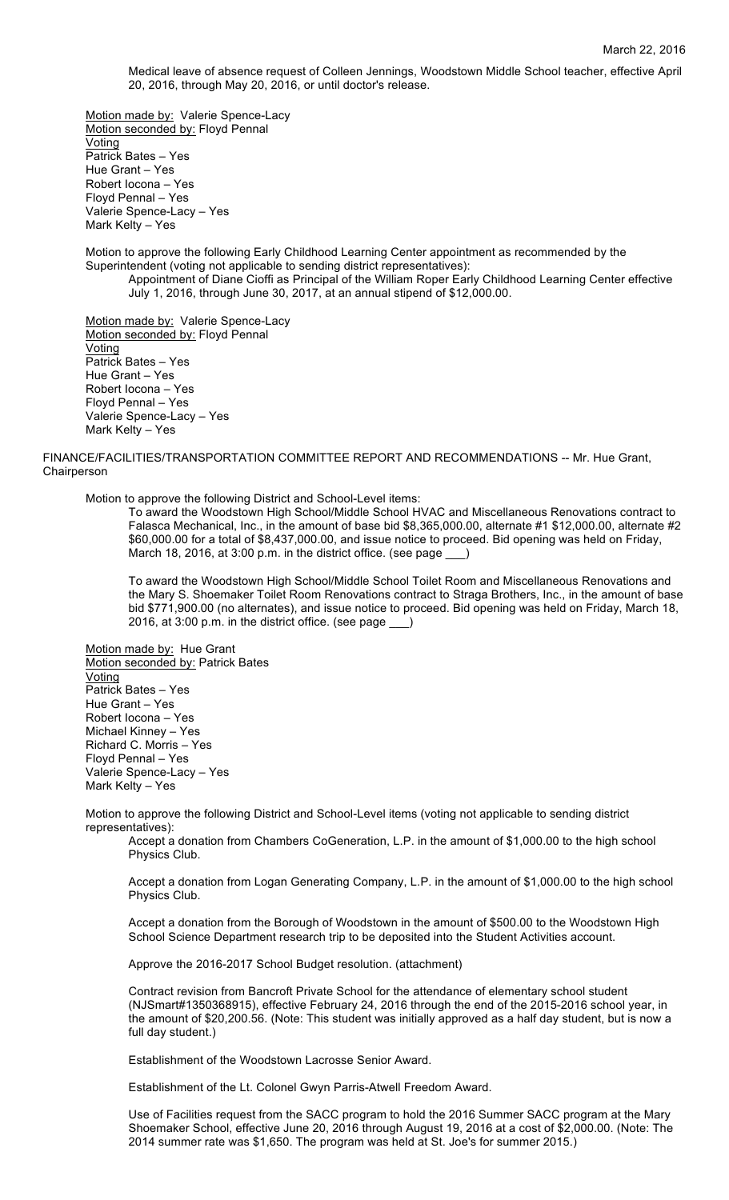Medical leave of absence request of Colleen Jennings, Woodstown Middle School teacher, effective April 20, 2016, through May 20, 2016, or until doctor's release.

Motion made by: Valerie Spence-Lacy Motion seconded by: Floyd Pennal Voting Patrick Bates – Yes Hue Grant – Yes Robert Iocona – Yes Floyd Pennal – Yes Valerie Spence-Lacy – Yes Mark Kelty – Yes

Motion to approve the following Early Childhood Learning Center appointment as recommended by the Superintendent (voting not applicable to sending district representatives):

Appointment of Diane Cioffi as Principal of the William Roper Early Childhood Learning Center effective July 1, 2016, through June 30, 2017, at an annual stipend of \$12,000.00.

Motion made by: Valerie Spence-Lacy Motion seconded by: Floyd Pennal Voting Patrick Bates – Yes Hue Grant – Yes Robert Iocona – Yes Floyd Pennal – Yes Valerie Spence-Lacy – Yes Mark Kelty – Yes

FINANCE/FACILITIES/TRANSPORTATION COMMITTEE REPORT AND RECOMMENDATIONS -- Mr. Hue Grant, Chairperson

Motion to approve the following District and School-Level items:

To award the Woodstown High School/Middle School HVAC and Miscellaneous Renovations contract to Falasca Mechanical, Inc., in the amount of base bid \$8,365,000.00, alternate #1 \$12,000.00, alternate #2 \$60,000.00 for a total of \$8,437,000.00, and issue notice to proceed. Bid opening was held on Friday, March 18, 2016, at 3:00 p.m. in the district office. (see page

To award the Woodstown High School/Middle School Toilet Room and Miscellaneous Renovations and the Mary S. Shoemaker Toilet Room Renovations contract to Straga Brothers, Inc., in the amount of base bid \$771,900.00 (no alternates), and issue notice to proceed. Bid opening was held on Friday, March 18, 2016, at 3:00 p.m. in the district office. (see page \_\_\_)

Motion made by: Hue Grant Motion seconded by: Patrick Bates Voting Patrick Bates – Yes Hue Grant – Yes Robert Iocona – Yes Michael Kinney – Yes Richard C. Morris – Yes Floyd Pennal – Yes Valerie Spence-Lacy – Yes Mark Kelty – Yes

Motion to approve the following District and School-Level items (voting not applicable to sending district representatives):

Accept a donation from Chambers CoGeneration, L.P. in the amount of \$1,000.00 to the high school Physics Club.

Accept a donation from Logan Generating Company, L.P. in the amount of \$1,000.00 to the high school Physics Club.

Accept a donation from the Borough of Woodstown in the amount of \$500.00 to the Woodstown High School Science Department research trip to be deposited into the Student Activities account.

Approve the 2016-2017 School Budget resolution. (attachment)

Contract revision from Bancroft Private School for the attendance of elementary school student (NJSmart#1350368915), effective February 24, 2016 through the end of the 2015-2016 school year, in the amount of \$20,200.56. (Note: This student was initially approved as a half day student, but is now a full day student.)

Establishment of the Woodstown Lacrosse Senior Award.

Establishment of the Lt. Colonel Gwyn Parris-Atwell Freedom Award.

Use of Facilities request from the SACC program to hold the 2016 Summer SACC program at the Mary Shoemaker School, effective June 20, 2016 through August 19, 2016 at a cost of \$2,000.00. (Note: The 2014 summer rate was \$1,650. The program was held at St. Joe's for summer 2015.)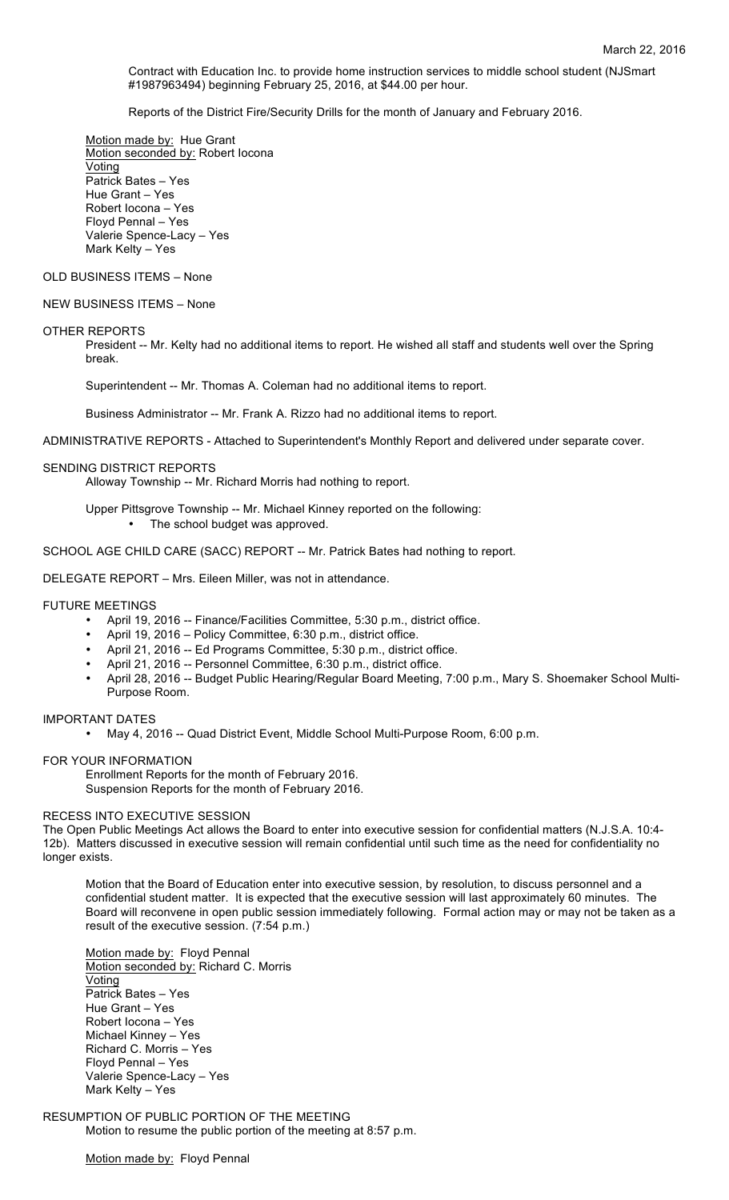Contract with Education Inc. to provide home instruction services to middle school student (NJSmart #1987963494) beginning February 25, 2016, at \$44.00 per hour.

Reports of the District Fire/Security Drills for the month of January and February 2016.

Motion made by: Hue Grant Motion seconded by: Robert Iocona Voting Patrick Bates – Yes Hue Grant – Yes Robert Iocona – Yes Floyd Pennal – Yes Valerie Spence-Lacy – Yes Mark Kelty – Yes

# OLD BUSINESS ITEMS – None

# NEW BUSINESS ITEMS – None

#### OTHER REPORTS

President -- Mr. Kelty had no additional items to report. He wished all staff and students well over the Spring break.

Superintendent -- Mr. Thomas A. Coleman had no additional items to report.

Business Administrator -- Mr. Frank A. Rizzo had no additional items to report.

ADMINISTRATIVE REPORTS - Attached to Superintendent's Monthly Report and delivered under separate cover.

#### SENDING DISTRICT REPORTS

Alloway Township -- Mr. Richard Morris had nothing to report.

Upper Pittsgrove Township -- Mr. Michael Kinney reported on the following: • The school budget was approved.

SCHOOL AGE CHILD CARE (SACC) REPORT -- Mr. Patrick Bates had nothing to report.

DELEGATE REPORT – Mrs. Eileen Miller, was not in attendance.

#### FUTURE MEETINGS

- April 19, 2016 -- Finance/Facilities Committee, 5:30 p.m., district office.
- April 19, 2016 Policy Committee, 6:30 p.m., district office.
- April 21, 2016 -- Ed Programs Committee, 5:30 p.m., district office.
- April 21, 2016 -- Personnel Committee, 6:30 p.m., district office.
- April 28, 2016 -- Budget Public Hearing/Regular Board Meeting, 7:00 p.m., Mary S. Shoemaker School Multi-Purpose Room.

# IMPORTANT DATES

• May 4, 2016 -- Quad District Event, Middle School Multi-Purpose Room, 6:00 p.m.

### FOR YOUR INFORMATION

Enrollment Reports for the month of February 2016. Suspension Reports for the month of February 2016.

#### RECESS INTO EXECUTIVE SESSION

The Open Public Meetings Act allows the Board to enter into executive session for confidential matters (N.J.S.A. 10:4- 12b). Matters discussed in executive session will remain confidential until such time as the need for confidentiality no longer exists.

Motion that the Board of Education enter into executive session, by resolution, to discuss personnel and a confidential student matter. It is expected that the executive session will last approximately 60 minutes. The Board will reconvene in open public session immediately following. Formal action may or may not be taken as a result of the executive session. (7:54 p.m.)

Motion made by: Floyd Pennal Motion seconded by: Richard C. Morris Voting Patrick Bates – Yes Hue Grant – Yes Robert Iocona – Yes Michael Kinney – Yes Richard C. Morris – Yes Floyd Pennal – Yes Valerie Spence-Lacy – Yes Mark Kelty – Yes

## RESUMPTION OF PUBLIC PORTION OF THE MEETING Motion to resume the public portion of the meeting at 8:57 p.m.